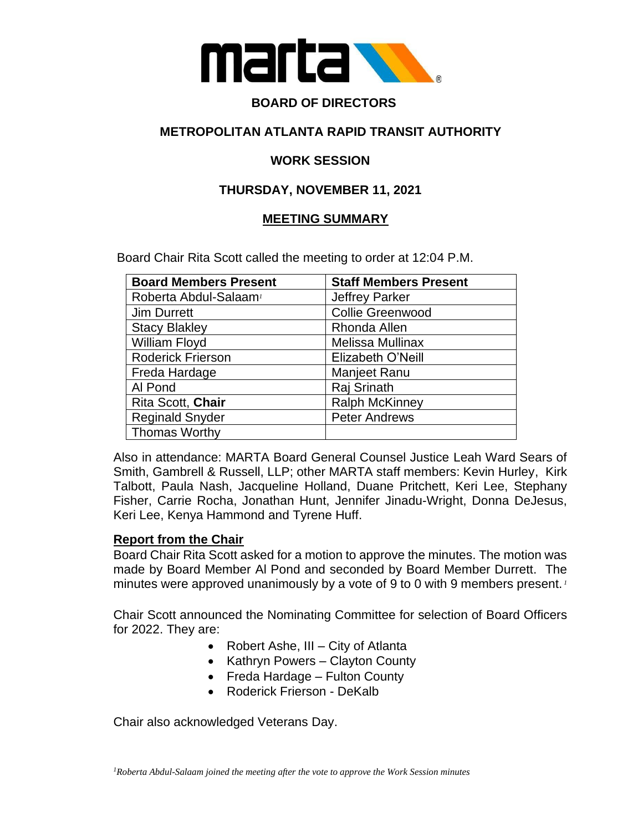

# **BOARD OF DIRECTORS**

## **METROPOLITAN ATLANTA RAPID TRANSIT AUTHORITY**

### **WORK SESSION**

# **THURSDAY, NOVEMBER 11, 2021**

### **MEETING SUMMARY**

Board Chair Rita Scott called the meeting to order at 12:04 P.M.

| <b>Board Members Present</b>      | <b>Staff Members Present</b> |
|-----------------------------------|------------------------------|
| Roberta Abdul-Salaam <sup>1</sup> | <b>Jeffrey Parker</b>        |
| <b>Jim Durrett</b>                | <b>Collie Greenwood</b>      |
| <b>Stacy Blakley</b>              | Rhonda Allen                 |
| William Floyd                     | Melissa Mullinax             |
| <b>Roderick Frierson</b>          | Elizabeth O'Neill            |
| Freda Hardage                     | Manjeet Ranu                 |
| Al Pond                           | Raj Srinath                  |
| Rita Scott, Chair                 | <b>Ralph McKinney</b>        |
| <b>Reginald Snyder</b>            | <b>Peter Andrews</b>         |
| <b>Thomas Worthy</b>              |                              |

Also in attendance: MARTA Board General Counsel Justice Leah Ward Sears of Smith, Gambrell & Russell, LLP; other MARTA staff members: Kevin Hurley, Kirk Talbott, Paula Nash, Jacqueline Holland, Duane Pritchett, Keri Lee, Stephany Fisher, Carrie Rocha, Jonathan Hunt, Jennifer Jinadu-Wright, Donna DeJesus, Keri Lee, Kenya Hammond and Tyrene Huff.

#### **Report from the Chair**

Board Chair Rita Scott asked for a motion to approve the minutes. The motion was made by Board Member Al Pond and seconded by Board Member Durrett. The minutes were approved unanimously by a vote of 9 to 0 with 9 members present. *<sup>1</sup>*

Chair Scott announced the Nominating Committee for selection of Board Officers for 2022. They are:

- Robert Ashe, III City of Atlanta
- Kathryn Powers Clayton County
- Freda Hardage Fulton County
- Roderick Frierson DeKalb

Chair also acknowledged Veterans Day.